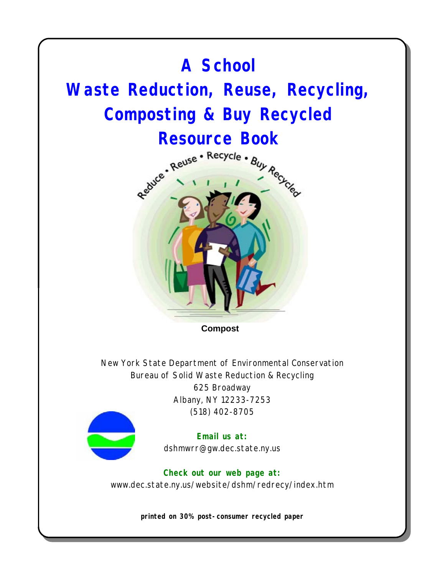# **Compost A School Waste Reduction, Reuse, Recycling, Composting & Buy Recycled**  Resource Book<br>Resource - Recycle - Buy Recycle<br>Re<sup>duce</sup> - All - All - <sup>Recycle</sup> -

New York State Department of Environmental Conservation Bureau of Solid Waste Reduction & Recycling 625 Broadway Albany, NY 12233-7253 (518) 402-8705



**Email us at:** dshmwrr@gw.dec.state.ny.us

**Check out our web page at:** www.dec.state.ny.us/website/dshm/redrecy/index.htm

**printed on 30% post-consumer recycled paper**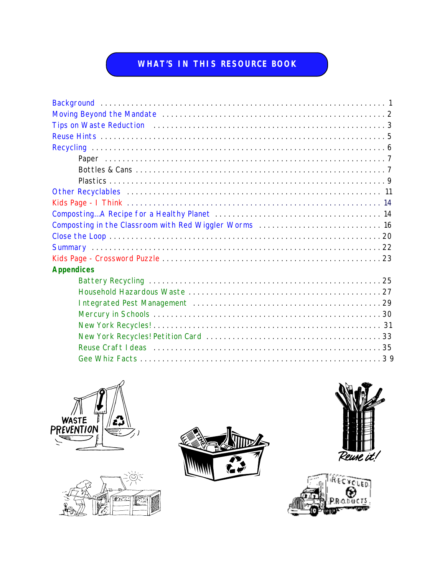#### **WHAT'S IN THIS RESOURCE BOOK**

| <b>Appendices</b> |
|-------------------|
|                   |
|                   |
|                   |
|                   |
|                   |
|                   |
|                   |
|                   |









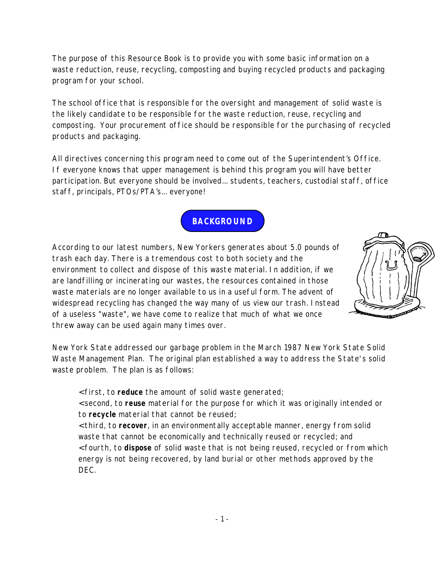<span id="page-2-0"></span>The purpose of this Resource Book is to provide you with some basic information on a waste reduction, reuse, recycling, composting and buying recycled products and packaging program for your school.

The school office that is responsible for the oversight and management of solid waste is the likely candidate to be responsible for the waste reduction, reuse, recycling and composting. Your procurement office should be responsible for the purchasing of recycled products and packaging.

All directives concerning this program need to come out of the Superintendent's Office. If everyone knows that upper management is behind this program you will have better participation. But everyone should be involved... students, teachers, custodial staff, office staff, principals, PTOs/PTA's... everyone!

**BACKGROUND**

According to our latest numbers, New Yorkers generates about 5.0 pounds of trash each day. There is a tremendous cost to both society and the environment to collect and dispose of this waste material. In addition, if we are landfilling or incinerating our wastes, the resources contained in those waste materials are no longer available to us in a useful form. The advent of widespread recycling has changed the way many of us view our trash. Instead of a useless "waste", we have come to realize that much of what we once threw away can be used again many times over.



New York State addressed our garbage problem in the March 1987 New York State Solid Waste Management Plan. The original plan established a way to address the State's solid waste problem. The plan is as follows:

< first, to **reduce** the amount of solid waste generated;

< second, to **reuse** material for the purpose for which it was originally intended or to **recycle** material that cannot be reused;

< third, to **recover**, in an environmentally acceptable manner, energy from solid waste that cannot be economically and technically reused or recycled; and < fourth, to **dispose** of solid waste that is not being reused, recycled or from which energy is not being recovered, by land burial or other methods approved by the DEC.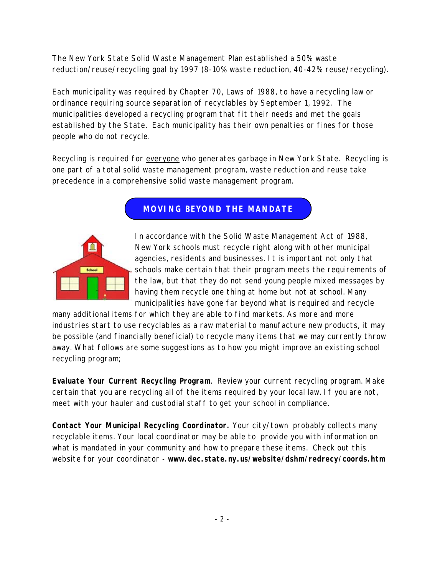<span id="page-3-0"></span>The New York State Solid Waste Management Plan established a 50% waste reduction/reuse/recycling goal by 1997 (8-10% waste reduction, 40-42% reuse/recycling).

Each municipality was required by Chapter 70, Laws of 1988, to have a recycling law or ordinance requiring source separation of recyclables by September 1, 1992. The municipalities developed a recycling program that fit their needs and met the goals established by the State. Each municipality has their own penalties or fines for those people who do not recycle.

Recycling is required for everyone who generates garbage in New York State. Recycling is one part of a total solid waste management program, waste reduction and reuse take precedence in a comprehensive solid waste management program.

#### **MOVING BEYOND THE MANDATE**



In accordance with the Solid Waste Management Act of 1988, New York schools must recycle right along with other municipal agencies, residents and businesses. It is important not only that schools make certain that their program meets the requirements of the law, but that they do not send young people mixed messages by having them recycle one thing at home but not at school. Many municipalities have gone far beyond what is required and recycle

many additional items for which they are able to find markets. As more and more industries start to use recyclables as a raw material to manufacture new products, it may be possible (and financially beneficial) to recycle many items that we may currently throw away. What follows are some suggestions as to how you might improve an existing school recycling program;

**Evaluate Your Current Recycling Program**. Review your current recycling program. Make certain that you are recycling all of the items required by your local law. If you are not, meet with your hauler and custodial staff to get your school in compliance.

**Contact Your Municipal Recycling Coordinator.** Your city/town probably collects many recyclable items. Your local coordinator may be able to provide you with information on what is mandated in your community and how to prepare these items. Check out this website for your coordinator - **<www.dec.state.ny.us/website/dshm/redrecy/coords.htm>**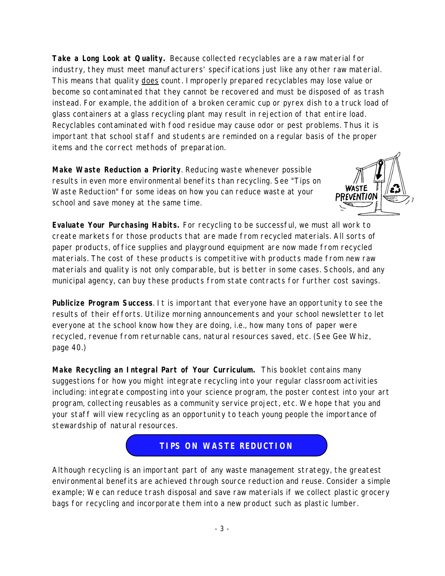<span id="page-4-0"></span>**Take a Long Look at Quality.** Because collected recyclables are a raw material for industry, they must meet manufacturers' specifications just like any other raw material. This means that quality does count. Improperly prepared recyclables may lose value or become so contaminated that they cannot be recovered and must be disposed of as trash instead. For example, the addition of a broken ceramic cup or pyrex dish to a truck load of glass containers at a glass recycling plant may result in rejection of that entire load. Recyclables contaminated with food residue may cause odor or pest problems. Thus it is important that school staff and students are reminded on a regular basis of the proper items and the correct methods of preparation.

**Make Waste Reduction a Priority**. Reducing waste whenever possible results in even more environmental benefits than recycling. See "Tips on Waste Reduction" for some ideas on how you can reduce waste at your school and save money at the same time.



**Evaluate Your Purchasing Habits.** For recycling to be successful, we must all work to create markets for those products that are made from recycled materials. All sorts of paper products, office supplies and playground equipment are now made from recycled materials. The cost of these products is competitive with products made from new raw materials and quality is not only comparable, but is better in some cases. Schools, and any municipal agency, can buy these products from state contracts for further cost savings.

**Publicize Program Success**. It is important that everyone have an opportunity to see the results of their efforts. Utilize morning announcements and your school newsletter to let everyone at the school know how they are doing, i.e., how many tons of paper were recycled, revenue from returnable cans, natural resources saved, etc. (See Gee Whiz, page 40.)

**Make Recycling an Integral Part of Your Curriculum.** This booklet contains many suggestions for how you might integrate recycling into your regular classroom activities including: integrate composting into your science program, the poster contest into your art program, collecting reusables as a community service project, etc. We hope that you and your staff will view recycling as an opportunity to teach young people the importance of stewardship of natural resources.



Although recycling is an important part of any waste management strategy, the greatest environmental benefits are achieved through source reduction and reuse. Consider a simple example; We can reduce trash disposal and save raw materials if we collect plastic grocery bags for recycling and incorporate them into a new product such as plastic lumber.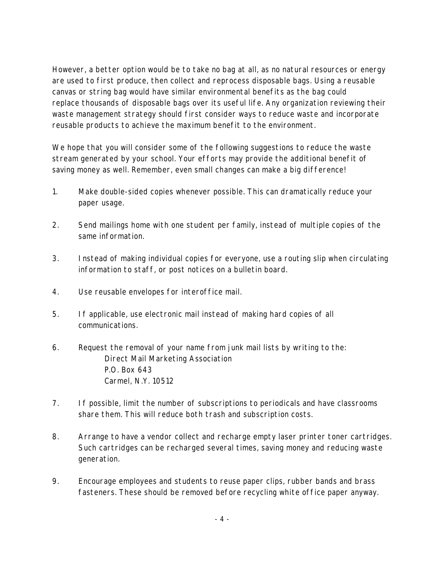However, a better option would be to take no bag at all, as no natural resources or energy are used to first produce, then collect and reprocess disposable bags. Using a reusable canvas or string bag would have similar environmental benefits as the bag could replace thousands of disposable bags over its useful life. Any organization reviewing their waste management strategy should first consider ways to reduce waste and incorporate reusable products to achieve the maximum benefit to the environment.

We hope that you will consider some of the following suggestions to reduce the waste stream generated by your school. Your efforts may provide the additional benefit of saving money as well. Remember, even small changes can make a big difference!

- 1. Make double-sided copies whenever possible. This can dramatically reduce your paper usage.
- 2. Send mailings home with one student per family, instead of multiple copies of the same information.
- 3. Instead of making individual copies for everyone, use a routing slip when circulating information to staff, or post notices on a bulletin board.
- 4. Use reusable envelopes for interoffice mail.
- 5. If applicable, use electronic mail instead of making hard copies of all communications.
- 6. Request the removal of your name from junk mail lists by writing to the: Direct Mail Marketing Association P.O. Box 643 Carmel, N.Y. 10512
- 7. If possible, limit the number of subscriptions to periodicals and have classrooms share them. This will reduce both trash and subscription costs.
- 8. Arrange to have a vendor collect and recharge empty laser printer toner cartridges. Such cartridges can be recharged several times, saving money and reducing waste generation.
- 9. Encourage employees and students to reuse paper clips, rubber bands and brass fasteners. These should be removed before recycling white office paper anyway.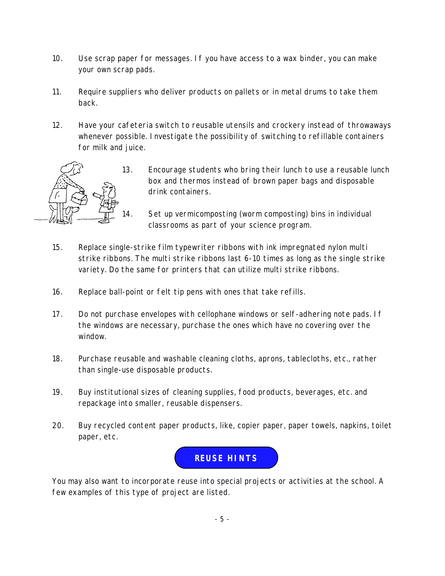- <span id="page-6-0"></span>10. Use scrap paper for messages. If you have access to a wax binder, you can make your own scrap pads.
- 11. Require suppliers who deliver products on pallets or in metal drums to take them back.
- 12. Have your cafeteria switch to reusable utensils and crockery instead of throwaways whenever possible. Investigate the possibility of switching to refillable containers for milk and juice.



13. Encourage students who bring their lunch to use a reusable lunch box and thermos instead of brown paper bags and disposable drink containers.

14. Set up vermicomposting (worm composting) bins in individual classrooms as part of your science program.

- 15. Replace single-strike film typewriter ribbons with ink impregnated nylon multi strike ribbons. The multi strike ribbons last 6-10 times as long as the single strike variety. Do the same for printers that can utilize multi strike ribbons.
- 16. Replace ball-point or felt tip pens with ones that take refills.
- 17. Do not purchase envelopes with cellophane windows or self-adhering note pads. If the windows are necessary, purchase the ones which have no covering over the window.
- 18. Purchase reusable and washable cleaning cloths, aprons, tablecloths, etc., rather than single-use disposable products.
- 19. Buy institutional sizes of cleaning supplies, food products, beverages, etc. and repackage into smaller, reusable dispensers.
- 20. Buy recycled content paper products, like, copier paper, paper towels, napkins, toilet paper, etc.



You may also want to incorporate reuse into special projects or activities at the school. A few examples of this type of project are listed.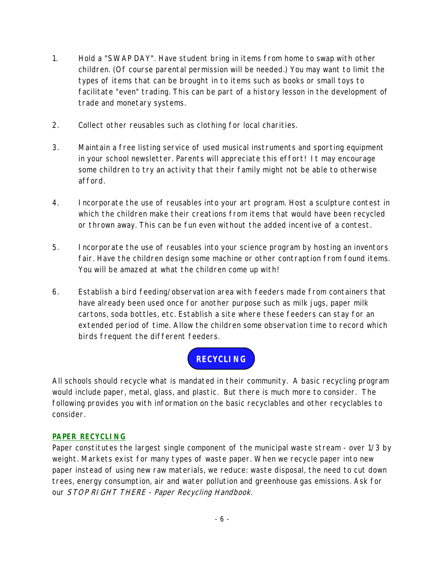- <span id="page-7-0"></span>1. Hold a "SWAP DAY". Have student bring in items from home to swap with other children. (Of course parental permission will be needed.) You may want to limit the types of items that can be brought in to items such as books or small toys to facilitate "even" trading. This can be part of a history lesson in the development of trade and monetary systems.
- 2. Collect other reusables such as clothing for local charities.
- 3. Maintain a free listing service of used musical instruments and sporting equipment in your school newsletter. Parents will appreciate this effort! It may encourage some children to try an activity that their family might not be able to otherwise afford.
- 4. Incorporate the use of reusables into your art program. Host a sculpture contest in which the children make their creations from items that would have been recycled or thrown away. This can be fun even without the added incentive of a contest.
- 5. Incorporate the use of reusables into your science program by hosting an inventors fair. Have the children design some machine or other contraption from found items. You will be amazed at what the children come up with!
- 6. Establish a bird feeding/observation area with feeders made from containers that have already been used once for another purpose such as milk jugs, paper milk cartons, soda bottles, etc. Establish a site where these feeders can stay for an extended period of time. Allow the children some observation time to record which birds frequent the different feeders.

## **RECYCLING**

All schools should recycle what is mandated in their community. A basic recycling program would include paper, metal, glass, and plastic. But there is much more to consider. The following provides you with information on the basic recyclables and other recyclables to consider.

#### **PAPER RECYCLING**

Paper constitutes the largest single component of the municipal waste stream - over 1/3 by weight. Markets exist for many types of waste paper. When we recycle paper into new paper instead of using new raw materials, we reduce: waste disposal, the need to cut down trees, energy consumption, air and water pollution and greenhouse gas emissions. Ask for our STOP RIGHT THERE - Paper Recycling Handbook.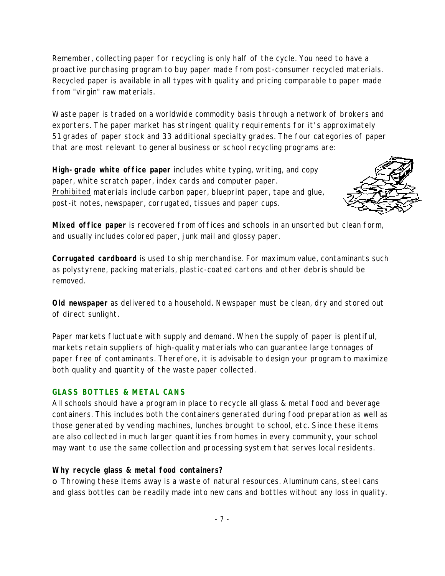<span id="page-8-0"></span>Remember, collecting paper for recycling is only half of the cycle. You need to have a proactive purchasing program to buy paper made from post-consumer recycled materials. Recycled paper is available in all types with quality and pricing comparable to paper made from "virgin" raw materials.

Waste paper is traded on a worldwide commodity basis through a network of brokers and exporters. The paper market has stringent quality requirements for it's approximately 51 grades of paper stock and 33 additional specialty grades. The four categories of paper that are most relevant to general business or school recycling programs are:

**High-grade white office paper** includes white typing, writing, and copy paper, white scratch paper, index cards and computer paper. Prohibited materials include carbon paper, blueprint paper, tape and glue, post-it notes, newspaper, corrugated, tissues and paper cups.



**Mixed office paper** is recovered from offices and schools in an unsorted but clean form, and usually includes colored paper, junk mail and glossy paper.

**Corrugated cardboard** is used to ship merchandise. For maximum value, contaminants such as polystyrene, packing materials, plastic-coated cartons and other debris should be removed.

**Old newspaper** as delivered to a household. Newspaper must be clean, dry and stored out of direct sunlight.

Paper markets fluctuate with supply and demand. When the supply of paper is plentiful, markets retain suppliers of high-quality materials who can guarantee large tonnages of paper free of contaminants. Therefore, it is advisable to design your program to maximize both quality and quantity of the waste paper collected.

#### **GLASS BOTTLES & METAL CANS**

All schools should have a program in place to recycle all glass & metal food and beverage containers. This includes both the containers generated during food preparation as well as those generated by vending machines, lunches brought to school, etc. Since these items are also collected in much larger quantities from homes in every community, your school may want to use the same collection and processing system that serves local residents.

#### **Why recycle glass & metal food containers?**

o Throwing these items away is a waste of natural resources. Aluminum cans, steel cans and glass bottles can be readily made into new cans and bottles without any loss in quality.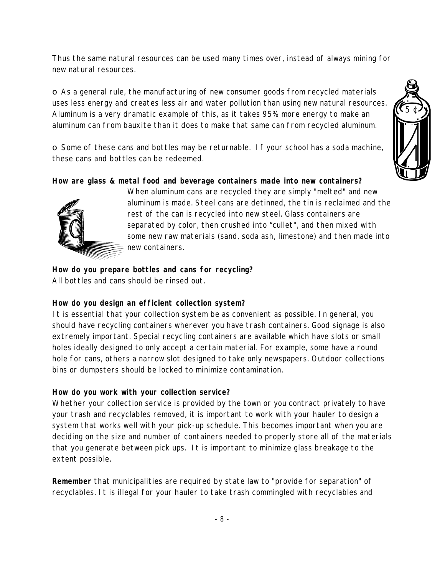Thus the same natural resources can be used many times over, instead of always mining for new natural resources.

o As a general rule, the manufacturing of new consumer goods from recycled materials uses less energy and creates less air and water pollution than using new natural resources. Aluminum is a very dramatic example of this, as it takes 95% more energy to make an aluminum can from bauxite than it does to make that same can from recycled aluminum.

o Some of these cans and bottles may be returnable. If your school has a soda machine, these cans and bottles can be redeemed.

**How are glass & metal food and beverage containers made into new containers?**



When aluminum cans are recycled they are simply "melted" and new aluminum is made. Steel cans are detinned, the tin is reclaimed and the rest of the can is recycled into new steel. Glass containers are separated by color, then crushed into "cullet", and then mixed with some new raw materials (sand, soda ash, limestone) and then made into new containers.

**How do you prepare bottles and cans for recycling?** All bottles and cans should be rinsed out.

#### **How do you design an efficient collection system?**

It is essential that your collection system be as convenient as possible. In general, you should have recycling containers wherever you have trash containers. Good signage is also extremely important. Special recycling containers are available which have slots or small holes ideally designed to only accept a certain material. For example, some have a round hole for cans, others a narrow slot designed to take only newspapers. Outdoor collections bins or dumpsters should be locked to minimize contamination.

#### **How do you work with your collection service?**

Whether your collection service is provided by the town or you contract privately to have your trash and recyclables removed, it is important to work with your hauler to design a system that works well with your pick-up schedule. This becomes important when you are deciding on the size and number of containers needed to properly store all of the materials that you generate between pick ups. It is important to minimize glass breakage to the extent possible.

**Remember** that municipalities are required by state law to "provide for separation" of recyclables. It is illegal for your hauler to take trash commingled with recyclables and

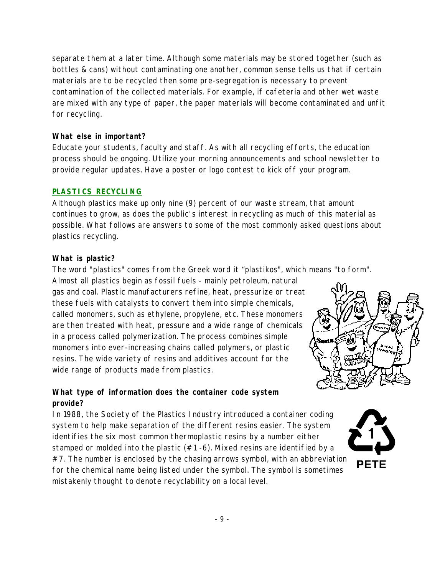<span id="page-10-0"></span>separate them at a later time. Although some materials may be stored together (such as bottles & cans) without contaminating one another, common sense tells us that if certain materials are to be recycled then some pre-segregation is necessary to prevent contamination of the collected materials. For example, if cafeteria and other wet waste are mixed with any type of paper, the paper materials will become contaminated and unfit for recycling.

#### **What else in important?**

Educate your students, faculty and staff. As with all recycling efforts, the education process should be ongoing. Utilize your morning announcements and school newsletter to provide regular updates. Have a poster or logo contest to kick off your program.

#### **PLASTICS RECYCLING**

Although plastics make up only nine (9) percent of our waste stream, that amount continues to grow, as does the public's interest in recycling as much of this material as possible. What follows are answers to some of the most commonly asked questions about plastics recycling.

#### **What is plastic?**

The word "plastics" comes from the Greek word it "plastikos", which means "to form".

Almost all plastics begin as fossil fuels - mainly petroleum, natural gas and coal. Plastic manufacturers refine, heat, pressurize or treat these fuels with catalysts to convert them into simple chemicals, called monomers, such as ethylene, propylene, etc. These monomers are then treated with heat, pressure and a wide range of chemicals in a process called polymerization. The process combines simple monomers into ever-increasing chains called polymers, or plastic resins. The wide variety of resins and additives account for the wide range of products made from plastics.



#### **What type of information does the container code system provide?**

In 1988, the Society of the Plastics Industry introduced a container coding system to help make separation of the different resins easier. The system identifies the six most common thermoplastic resins by a number either stamped or molded into the plastic  $(#1 -6)$ . Mixed resins are identified by a  $#7$ . The number is enclosed by the chasing arrows symbol, with an abbreviation for the chemical name being listed under the symbol. The symbol is sometimes mistakenly thought to denote recyclability on a local level.

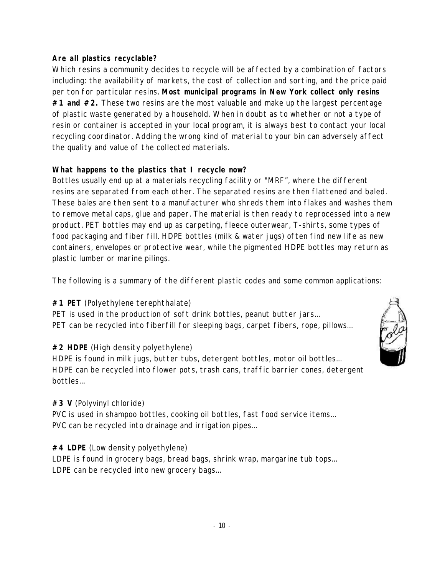#### **Are all plastics recyclable?**

Which resins a community decides to recycle will be affected by a combination of factors including: the availability of markets, the cost of collection and sorting, and the price paid per ton for particular resins. **Most municipal programs in New York collect only resins #1 and #2.** These two resins are the most valuable and make up the largest percentage of plastic waste generated by a household. When in doubt as to whether or not a type of resin or container is accepted in your local program, it is always best to contact your local recycling coordinator. Adding the wrong kind of material to your bin can adversely affect the quality and value of the collected materials.

#### **What happens to the plastics that I recycle now?**

Bottles usually end up at a materials recycling facility or "MRF", where the different resins are separated from each other. The separated resins are then flattened and baled. These bales are then sent to a manufacturer who shreds them into flakes and washes them to remove metal caps, glue and paper. The material is then ready to reprocessed into a new product. PET bottles may end up as carpeting, fleece outerwear, T-shirts, some types of food packaging and fiber fill. HDPE bottles (milk & water jugs) often find new life as new containers, envelopes or protective wear, while the pigmented HDPE bottles may return as plastic lumber or marine pilings.

The following is a summary of the different plastic codes and some common applications:

#### **#1 PET** (Polyethylene terephthalate)

PET is used in the production of soft drink bottles, peanut butter jars... PET can be recycled into fiberfill for sleeping bags, carpet fibers, rope, pillows...

#### **#2 HDPE** (High density polyethylene)

HDPE is found in milk jugs, butter tubs, detergent bottles, motor oil bottles... HDPE can be recycled into flower pots, trash cans, traffic barrier cones, detergent bottles...

#### **#3 V** (Polyvinyl chloride)

PVC is used in shampoo bottles, cooking oil bottles, fast food service items... PVC can be recycled into drainage and irrigation pipes...

#### **#4 LDPE** (Low density polyethylene)

LDPE is found in grocery bags, bread bags, shrink wrap, margarine tub tops... LDPE can be recycled into new grocery bags...

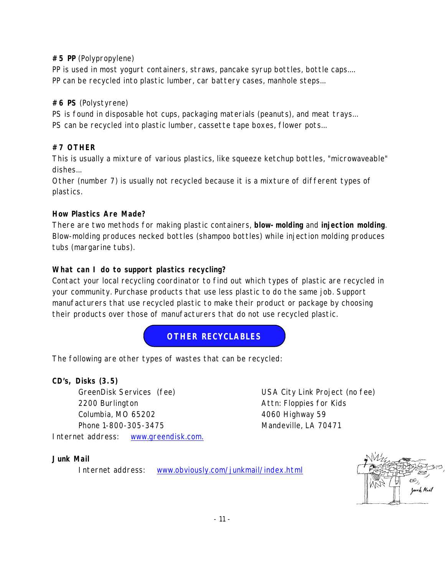#### <span id="page-12-0"></span>**#5 PP** (Polypropylene)

PP is used in most yogurt containers, straws, pancake syrup bottles, bottle caps.... PP can be recycled into plastic lumber, car battery cases, manhole steps...

#### **#6 PS** (Polystyrene)

PS is found in disposable hot cups, packaging materials (peanuts), and meat trays... PS can be recycled into plastic lumber, cassette tape boxes, flower pots...

#### **#7 OTHER**

This is usually a mixture of various plastics, like squeeze ketchup bottles, "microwaveable" dishes...

Other (number 7) is usually not recycled because it is a mixture of different types of plastics.

#### **How Plastics Are Made?**

There are two methods for making plastic containers, **blow-molding** and **injection molding**. Blow-molding produces necked bottles (shampoo bottles) while injection molding produces tubs (margarine tubs).

#### **What can I do to support plastics recycling?**

Contact your local recycling coordinator to find out which types of plastic are recycled in your community. Purchase products that use less plastic to do the same job. Support manufacturers that use recycled plastic to make their product or package by choosing their products over those of manufacturers that do not use recycled plastic.

#### **OTHER RECYCLABLES**

The following are other types of wastes that can be recycled:

#### **CD's, Disks (3.5)**

GreenDisk Services (fee) USA City Link Project (no fee) 2200 Burlington **Attn:** Floppies for Kids Columbia, MO 65202 4060 Highway 59 Phone 1-800-305-3475 Mandeville, LA 70471 Internet address: [www.greendisk.com.](www.greendisk.com)

#### **Junk Mail**

Internet address: <www.obviously.com/junkmail/index.html>

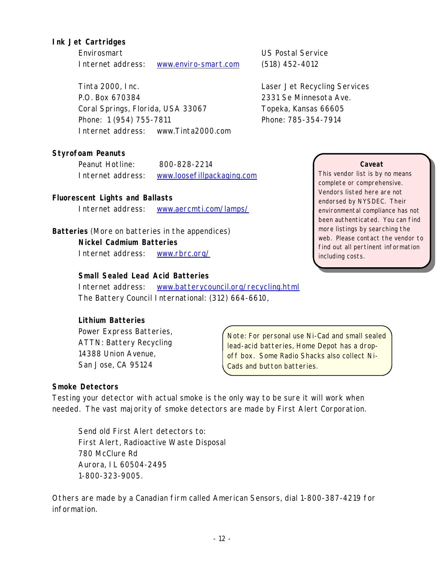#### **Ink Jet Cartridges**

Envirosmart US Postal Service Internet address: <www.enviro-smart.com> (518) 452-4012

Tinta 2000, Inc. Laser Jet Recycling Services P.O. Box 670384 2331 Se Minnesota Ave. Coral Springs, Florida, USA 33067 Topeka, Kansas 66605 Phone: 1 (954) 755-7811 Phone: 785-354-7914 Internet address: www.Tinta2000.com

**Styrofoam Peanuts**

Peanut Hotline: 800-828-2214 Internet address: <www.loosefillpackaging.com>

#### **Fluorescent Lights and Ballasts**

Internet address: <www.aercmti.com/lamps/>

**Batteries** (More on batteries in the appendices) **Nickel Cadmium Batteries** Internet address: <www.rbrc.org/>

**Small Sealed Lead Acid Batteries**

Internet address: <www.batterycouncil.org/recycling.html> The Battery Council International: (312) 664-6610,

#### **Lithium Batteries**

Power Express Batteries, ATTN: Battery Recycling 14388 Union Avenue, San Jose, CA 95124

#### **Caveat**

This vendor list is by no means complete or comprehensive. Vendors listed here are not endorsed by NYSDEC. Their environmental compliance has not been authenticated. You can find more listings by searching the web. Please contact the vendor to find out all pertinent information including costs.

Note: For personal use Ni-Cad and small sealed lead-acid batteries, Home Depot has a dropoff box. Some Radio Shacks also collect Ni-Cads and button batteries.

#### **Smoke Detectors**

Testing your detector with actual smoke is the only way to be sure it will work when needed. The vast majority of smoke detectors are made by First Alert Corporation.

Send old First Alert detectors to: First Alert, Radioactive Waste Disposal 780 McClure Rd Aurora, IL 60504-2495 1-800-323-9005.

Others are made by a Canadian firm called American Sensors, dial 1-800-387-4219 for information.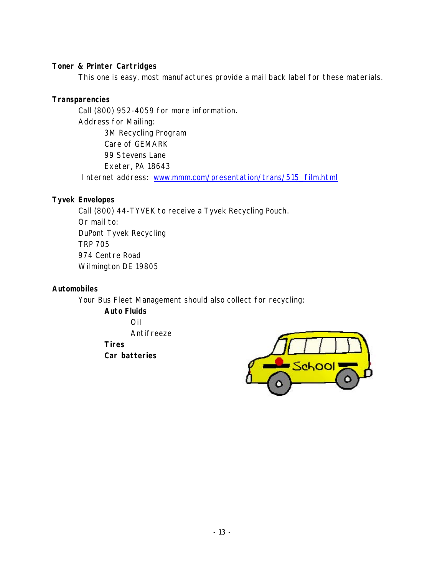#### **Toner & Printer Cartridges**

This one is easy, most manufactures provide a mail back label for these materials.

#### **Transparencies**

Call (800) 952-4059 for more information**.** Address for Mailing: 3M Recycling Program Care of GEMARK 99 Stevens Lane Exeter, PA 18643

Internet address: [www.mmm.com/presentation/trans/515\\_film.html](www.mmm.com/presentation/trans/515_film.html)

#### **Tyvek Envelopes**

Call (800) 44-TYVEK to receive a Tyvek Recycling Pouch. Or mail to: DuPont Tyvek Recycling TRP 705 974 Centre Road Wilmington DE 19805

#### **Automobiles**

Your Bus Fleet Management should also collect for recycling:

**Auto Fluids** Oil Antifreeze **Tires Car batteries**

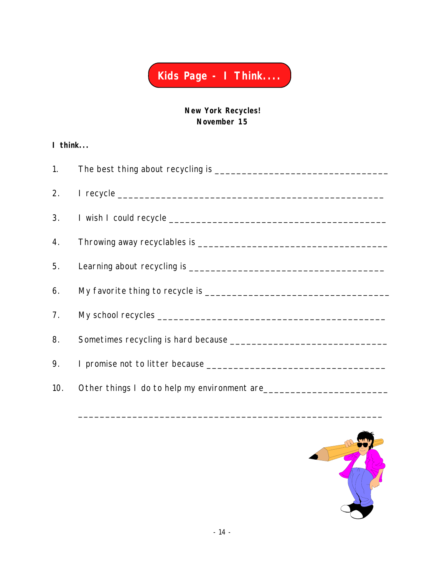

**New York Recycles! November 15**

#### <span id="page-15-0"></span>**I think...**

| 8. |                                                                                  |
|----|----------------------------------------------------------------------------------|
| 9. |                                                                                  |
|    | 10. Other things I do to help my environment are _______________________________ |



\_\_\_\_\_\_\_\_\_\_\_\_\_\_\_\_\_\_\_\_\_\_\_\_\_\_\_\_\_\_\_\_\_\_\_\_\_\_\_\_\_\_\_\_\_\_\_\_\_\_\_\_\_\_\_\_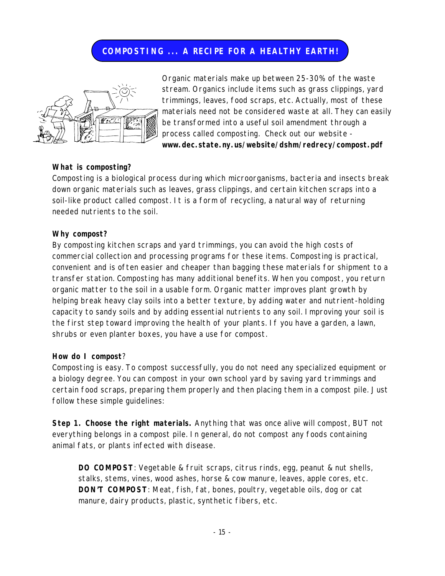#### **COMPOSTING ... A RECIPE FOR A HEALTHY EARTH!**

<span id="page-16-0"></span>

Organic materials make up between 25-30% of the waste stream. Organics include items such as grass clippings, yard trimmings, leaves, food scraps, etc. Actually, most of these materials need not be considered waste at all. They can easily be transformed into a useful soil amendment through a process called composting. Check out our website **<www.dec.state.ny.us/website/dshm/redrecy/compost.pdf>**

#### **What is composting?**

Composting is a biological process during which microorganisms, bacteria and insects break down organic materials such as leaves, grass clippings, and certain kitchen scraps into a soil-like product called compost. It is a form of recycling, a natural way of returning needed nutrients to the soil.

#### **Why compost?**

By composting kitchen scraps and yard trimmings, you can avoid the high costs of commercial collection and processing programs for these items. Composting is practical, convenient and is often easier and cheaper than bagging these materials for shipment to a transfer station. Composting has many additional benefits. When you compost, you return organic matter to the soil in a usable form. Organic matter improves plant growth by helping break heavy clay soils into a better texture, by adding water and nutrient-holding capacity to sandy soils and by adding essential nutrients to any soil. Improving your soil is the first step toward improving the health of your plants. If you have a garden, a lawn, shrubs or even planter boxes, you have a use for compost.

#### **How do I compost**?

Composting is easy. To compost successfully, you do not need any specialized equipment or a biology degree. You can compost in your own school yard by saving yard trimmings and certain food scraps, preparing them properly and then placing them in a compost pile. Just follow these simple guidelines:

**Step 1. Choose the right materials.** Anything that was once alive will compost, BUT not everything belongs in a compost pile. In general, do not compost any foods containing animal fats, or plants infected with disease.

**DO COMPOST**: Vegetable & fruit scraps, citrus rinds, egg, peanut & nut shells, stalks, stems, vines, wood ashes, horse & cow manure, leaves, apple cores, etc. **DON'T COMPOST**: Meat, fish, fat, bones, poultry, vegetable oils, dog or cat manure, dairy products, plastic, synthetic fibers, etc.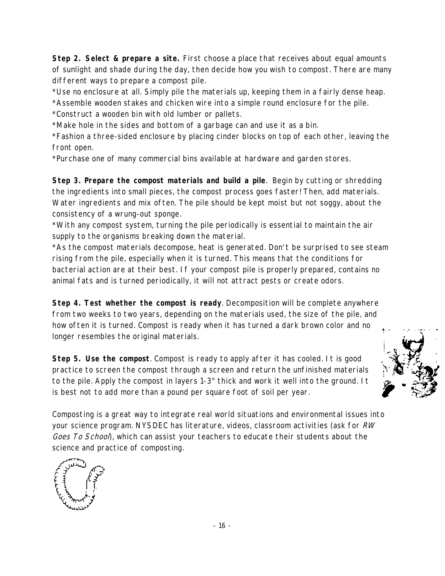**Step 2. Select & prepare a site.** First choose a place that receives about equal amounts of sunlight and shade during the day, then decide how you wish to compost. There are many different ways to prepare a compost pile.

\*Use no enclosure at all. Simply pile the materials up, keeping them in a fairly dense heap.

\*Assemble wooden stakes and chicken wire into a simple round enclosure for the pile.

\*Construct a wooden bin with old lumber or pallets.

\*Make hole in the sides and bottom of a garbage can and use it as a bin.

\*Fashion a three-sided enclosure by placing cinder blocks on top of each other, leaving the front open.

\*Purchase one of many commercial bins available at hardware and garden stores.

**Step 3. Prepare the compost materials and build a pile**. Begin by cutting or shredding the ingredients into small pieces, the compost process goes faster! Then, add materials. Water ingredients and mix often. The pile should be kept moist but not soggy, about the consistency of a wrung-out sponge.

\*With any compost system, turning the pile periodically is essential to maintain the air supply to the organisms breaking down the material.

\*As the compost materials decompose, heat is generated. Don't be surprised to see steam rising from the pile, especially when it is turned. This means that the conditions for bacterial action are at their best. If your compost pile is properly prepared, contains no animal fats and is turned periodically, it will not attract pests or create odors.

**Step 4. Test whether the compost is ready**. Decomposition will be complete anywhere from two weeks to two years, depending on the materials used, the size of the pile, and how often it is turned. Compost is ready when it has turned a dark brown color and no longer resembles the original materials.

**Step 5. Use the compost**. Compost is ready to apply after it has cooled. It is good practice to screen the compost through a screen and return the unfinished materials to the pile. Apply the compost in layers 1-3" thick and work it well into the ground. It is best not to add more than a pound per square foot of soil per year.

Composting is a great way to integrate real world situations and environmental issues into your science program. NYSDEC has literature, videos, classroom activities (ask for RW Goes To School), which can assist your teachers to educate their students about the science and practice of composting.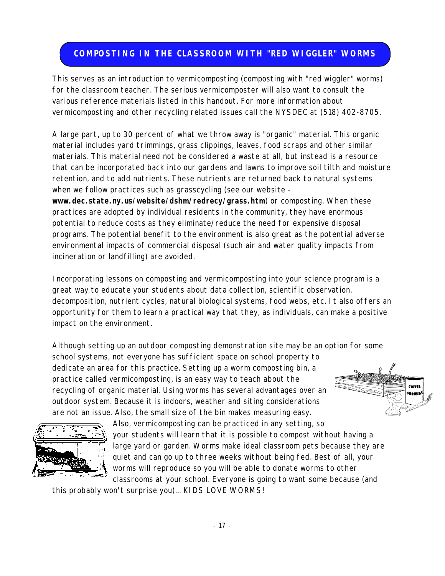#### <span id="page-18-0"></span>**COMPOSTING IN THE CLASSROOM WITH "RED WIGGLER" WORMS**

This serves as an introduction to vermicomposting (composting with "red wiggler" worms) for the classroom teacher. The serious vermicomposter will also want to consult the various reference materials listed in this handout. For more information about vermicomposting and other recycling related issues call the NYSDEC at (518) 402-8705.

A large part, up to 30 percent of what we throw away is "organic" material. This organic material includes yard trimmings, grass clippings, leaves, food scraps and other similar materials. This material need not be considered a waste at all, but instead is a resource that can be incorporated back into our gardens and lawns to improve soil tilth and moisture retention, and to add nutrients. These nutrients are returned back to natural systems when we follow practices such as grasscycling (see our website **<www.dec.state.ny.us/website/dshm/redrecy/grass.htm>**) or composting. When these practices are adopted by individual residents in the community, they have enormous potential to reduce costs as they eliminate/reduce the need for expensive disposal

programs. The potential benefit to the environment is also great as the potential adverse environmental impacts of commercial disposal (such air and water quality impacts from incineration or landfilling) are avoided.

Incorporating lessons on composting and vermicomposting into your science program is a great way to educate your students about data collection, scientific observation, decomposition, nutrient cycles, natural biological systems, food webs, etc. It also offers an opportunity for them to learn a practical way that they, as individuals, can make a positive impact on the environment.

Although setting up an outdoor composting demonstration site may be an option for some school systems, not everyone has sufficient space on school property to dedicate an area for this practice. Setting up a worm composting bin, a practice called vermicomposting, is an easy way to teach about the recycling of organic material. Using worms has several advantages over an outdoor system. Because it is indoors, weather and siting considerations are not an issue. Also, the small size of the bin makes measuring easy.





Also, vermicomposting can be practiced in any setting, so your students will learn that it is possible to compost without having a large yard or garden. Worms make ideal classroom pets because they are quiet and can go up to three weeks without being fed. Best of all, your worms will reproduce so you will be able to donate worms to other classrooms at your school. Everyone is going to want some because (and

this probably won't surprise you)... KIDS LOVE WORMS!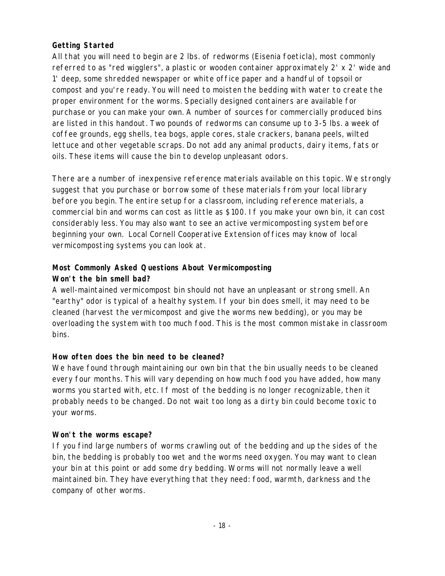#### **Getting Started**

All that you will need to begin are 2 lbs. of redworms (Eisenia foeticla), most commonly referred to as "red wigglers", a plastic or wooden container approximately 2' x 2' wide and 1' deep, some shredded newspaper or white office paper and a handful of topsoil or compost and you're ready. You will need to moisten the bedding with water to create the proper environment for the worms. Specially designed containers are available for purchase or you can make your own. A number of sources for commercially produced bins are listed in this handout. Two pounds of redworms can consume up to 3-5 lbs. a week of coffee grounds, egg shells, tea bogs, apple cores, stale crackers, banana peels, wilted lettuce and other vegetable scraps. Do not add any animal products, dairy items, fats or oils. These items will cause the bin to develop unpleasant odors.

There are a number of inexpensive reference materials available on this topic. We strongly suggest that you purchase or borrow some of these materials from your local library before you begin. The entire setup for a classroom, including reference materials, a commercial bin and worms can cost as little as \$100. If you make your own bin, it can cost considerably less. You may also want to see an active vermicomposting system before beginning your own. Local Cornell Cooperative Extension offices may know of local vermicomposting systems you can look at.

#### **Most Commonly Asked Questions About Vermicomposting Won't the bin smell bad?**

A well-maintained vermicompost bin should not have an unpleasant or strong smell. An "earthy" odor is typical of a healthy system. If your bin does smell, it may need to be cleaned (harvest the vermicompost and give the worms new bedding), or you may be overloading the system with too much food. This is the most common mistake in classroom bins.

#### **How often does the bin need to be cleaned?**

We have found through maintaining our own bin that the bin usually needs to be cleaned every four months. This will vary depending on how much food you have added, how many worms you started with, etc. If most of the bedding is no longer recognizable, then it probably needs to be changed. Do not wait too long as a dirty bin could become toxic to your worms.

#### **Won't the worms escape?**

If you find large numbers of worms crawling out of the bedding and up the sides of the bin, the bedding is probably too wet and the worms need oxygen. You may want to clean your bin at this point or add some dry bedding. Worms will not normally leave a well maintained bin. They have everything that they need: food, warmth, darkness and the company of other worms.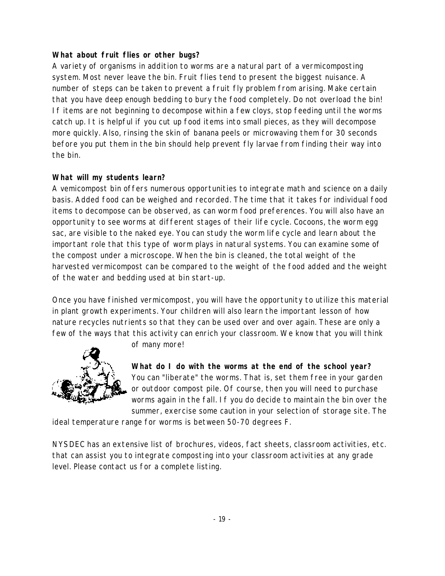#### **What about fruit flies or other bugs?**

A variety of organisms in addition to worms are a natural part of a vermicomposting system. Most never leave the bin. Fruit flies tend to present the biggest nuisance. A number of steps can be taken to prevent a fruit fly problem from arising. Make certain that you have deep enough bedding to bury the food completely. Do not overload the bin! If items are not beginning to decompose within a few cloys, stop feeding until the worms catch up. It is helpful if you cut up food items into small pieces, as they will decompose more quickly. Also, rinsing the skin of banana peels or microwaving them for 30 seconds before you put them in the bin should help prevent fly larvae from finding their way into the bin.

#### **What will my students learn?**

A vemicompost bin offers numerous opportunities to integrate math and science on a daily basis. Added food can be weighed and recorded. The time that it takes for individual food items to decompose can be observed, as can worm food preferences. You will also have an opportunity to see worms at different stages of their life cycle. Cocoons, the worm egg sac, are visible to the naked eye. You can study the worm life cycle and learn about the important role that this type of worm plays in natural systems. You can examine some of the compost under a microscope. When the bin is cleaned, the total weight of the harvested vermicompost can be compared to the weight of the food added and the weight of the water and bedding used at bin start-up.

Once you have finished vermicompost, you will have the opportunity to utilize this material in plant growth experiments. Your children will also learn the important lesson of how nature recycles nutrients so that they can be used over and over again. These are only a few of the ways that this activity can enrich your classroom. We know that you will think



of many more!

**What do I do with the worms at the end of the school year?**  You can "liberate" the worms. That is, set them free in your garden or outdoor compost pile. Of course, then you will need to purchase worms again in the fall. If you do decide to maintain the bin over the summer, exercise some caution in your selection of storage site. The

ideal temperature range for worms is between 50-70 degrees F.

NYSDEC has an extensive list of brochures, videos, fact sheets, classroom activities, etc. that can assist you to integrate composting into your classroom activities at any grade level. Please contact us for a complete listing.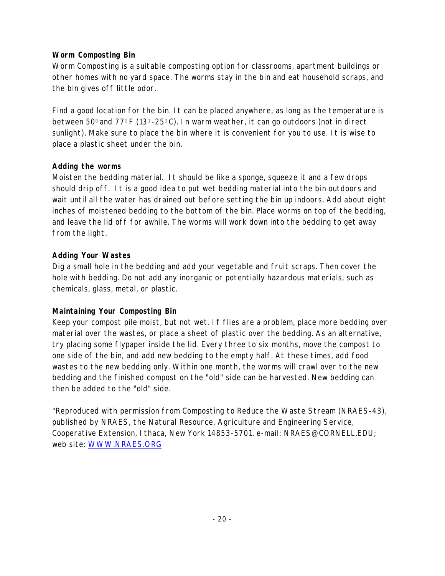#### **Worm Composting Bin**

Worm Composting is a suitable composting option for classrooms, apartment buildings or other homes with no yard space. The worms stay in the bin and eat household scraps, and the bin gives off little odor.

Find a good location for the bin. It can be placed anywhere, as long as the temperature is between 50 and 77 F (13 -25 C). In warm weather, it can go outdoors (not in direct sunlight). Make sure to place the bin where it is convenient for you to use. It is wise to place a plastic sheet under the bin.

#### **Adding the worms**

Moisten the bedding material. It should be like a sponge, squeeze it and a few drops should drip off. It is a good idea to put wet bedding material into the bin outdoors and wait until all the water has drained out before setting the bin up indoors. Add about eight inches of moistened bedding to the bottom of the bin. Place worms on top of the bedding, and leave the lid off for awhile. The worms will work down into the bedding to get away from the light.

#### **Adding Your Wastes**

Dig a small hole in the bedding and add your vegetable and fruit scraps. Then cover the hole with bedding. Do not add any inorganic or potentially hazardous materials, such as chemicals, glass, metal, or plastic.

#### **Maintaining Your Composting Bin**

Keep your compost pile moist, but not wet. If flies are a problem, place more bedding over material over the wastes, or place a sheet of plastic over the bedding. As an alternative, try placing some flypaper inside the lid. Every three to six months, move the compost to one side of the bin, and add new bedding to the empty half. At these times, add food wastes to the new bedding only. Within one month, the worms will crawl over to the new bedding and the finished compost on the "old" side can be harvested. New bedding can then be added to the "old" side.

"Reproduced with permission from Composting to Reduce the Waste Stream (NRAES-43), published by NRAES, the Natural Resource, Agriculture and Engineering Service, Cooperative Extension, Ithaca, New York 14853-5701. e-mail: NRAES@CORNELL.EDU; web site: [WWW.NRAES.ORG](www.nraes.org)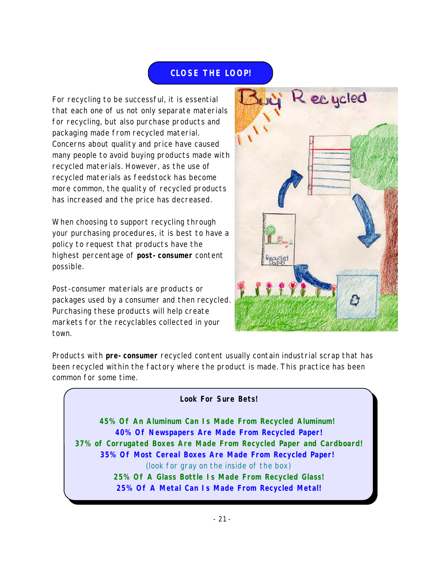#### **CLOSE THE LOOP!**

<span id="page-22-0"></span>For recycling to be successful, it is essential that each one of us not only separate materials for recycling, but also purchase products and packaging made from recycled material. Concerns about quality and price have caused many people to avoid buying products made with recycled materials. However, as the use of recycled materials as feedstock has become more common, the quality of recycled products has increased and the price has decreased.

When choosing to support recycling through your purchasing procedures, it is best to have a policy to request that products have the highest percentage of **post-consumer** content possible.

Post-consumer materials are products or packages used by a consumer and then recycled. Purchasing these products will help create markets for the recyclables collected in your town.



Products with **pre-consumer** recycled content usually contain industrial scrap that has been recycled within the factory where the product is made. This practice has been common for some time.

#### **Look For Sure Bets!**

**45% Of An Aluminum Can Is Made From Recycled Aluminum! 40% Of Newspapers Are Made From Recycled Paper! 37% of Corrugated Boxes Are Made From Recycled Paper and Cardboard! 35% Of Most Cereal Boxes Are Made From Recycled Paper!**  (look for gray on the inside of the box) **25% Of A Glass Bottle Is Made From Recycled Glass! 25% Of A Metal Can Is Made From Recycled Metal!**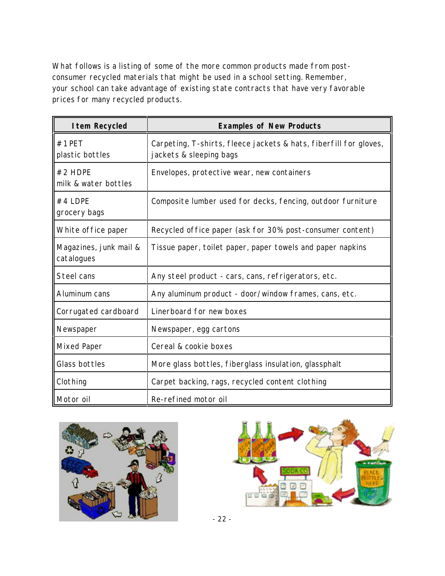What follows is a listing of some of the more common products made from postconsumer recycled materials that might be used in a school setting. Remember, your school can take advantage of existing state contracts that have very favorable prices for many recycled products.

| I tem Recycled                       | <b>Examples of New Products</b>                                                              |  |
|--------------------------------------|----------------------------------------------------------------------------------------------|--|
| $#1$ PET<br>plastic bottles          | Carpeting, T-shirts, fleece jackets & hats, fiberfill for gloves,<br>jackets & sleeping bags |  |
| #2 HDPE<br>milk & water bottles      | Envelopes, protective wear, new containers                                                   |  |
| $#4$ LDPE<br>grocery bags            | Composite lumber used for decks, fencing, outdoor furniture                                  |  |
| White office paper                   | Recycled office paper (ask for 30% post-consumer content)                                    |  |
| Magazines, junk mail &<br>catalogues | Tissue paper, toilet paper, paper towels and paper napkins                                   |  |
| Steel cans                           | Any steel product - cars, cans, refrigerators, etc.                                          |  |
| Aluminum cans                        | Any aluminum product - door/window frames, cans, etc.                                        |  |
| Corrugated cardboard                 | Linerboard for new boxes                                                                     |  |
| Newspaper                            | Newspaper, egg cartons                                                                       |  |
| <b>Mixed Paper</b>                   | Cereal & cookie boxes                                                                        |  |
| Glass bottles                        | More glass bottles, fiberglass insulation, glassphalt                                        |  |
| Clothing                             | Carpet backing, rags, recycled content clothing                                              |  |
| Motor oil                            | Re-refined motor oil                                                                         |  |





- 22 -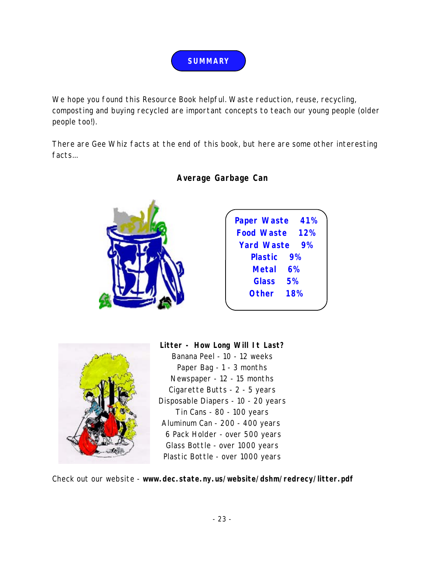

<span id="page-24-0"></span>We hope you found this Resource Book helpful. Waste reduction, reuse, recycling, composting and buying recycled are important concepts to teach our young people (older people too!).

There are Gee Whiz facts at the end of this book, but here are some other interesting facts...



#### **Average Garbage Can**





**Litter - How Long Will It Last?** Banana Peel - 10 - 12 weeks Paper Bag - 1 - 3 months Newspaper - 12 - 15 months Cigarette Butts - 2 - 5 years Disposable Diapers - 10 - 20 years Tin Cans - 80 - 100 years Aluminum Can - 200 - 400 years 6 Pack Holder - over 500 years Glass Bottle - over 1000 years Plastic Bottle - over 1000 years

Check out our website - **<www.dec.state.ny.us/website/dshm/redrecy/litter.pdf>**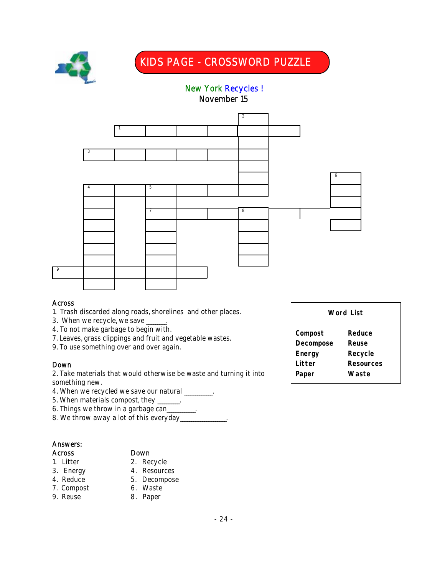

3

### KIDS PAGE - CROSSWORD PUZZLE

# New York Recycles ! November 15  $\overline{2}$ 4 5

7 8

#### Across

9

- 1. Trash discarded along roads, shorelines and other places.
- 3. When we recycle, we save \_\_\_\_\_\_.
- 4. To not make garbage to begin with.
- 7. Leaves, grass clippings and fruit and vegetable wastes.
- 9. To use something over and over again.

1

#### Down

2. Take materials that would otherwise be waste and turning it into something new.

- 4. When we recycled we save our natural \_\_\_\_\_\_\_\_\_.
- 5. When materials compost, they \_\_\_\_\_\_\_\_\_\_.
- 6. Things we throw in a garbage can\_\_\_\_\_\_\_\_\_\_\_\_\_.
- 8. We throw away a lot of this everyday\_

#### Answers:

#### Across Down

- 
- 
- 1. Litter 2. Recycle
- 3. Energy 4. Resources
- 4. Reduce 5. Decompose
- 7. Compost 6. Waste
- 9. Reuse 8. Paper

#### **Word List**

6

**Compost Reduce Decompose Reuse Energy Recycle Litter Resources Paper Waste**

#### - 24 -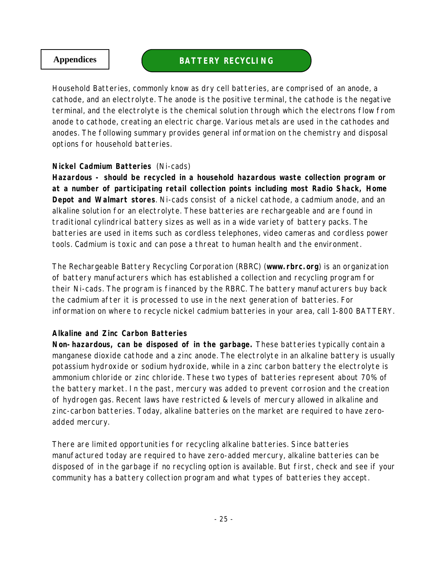#### <span id="page-26-0"></span>**Appendices BATTERY RECYCLING**

Household Batteries, commonly know as dry cell batteries, are comprised of an anode, a cathode, and an electrolyte. The anode is the positive terminal, the cathode is the negative terminal, and the electrolyte is the chemical solution through which the electrons flow from anode to cathode, creating an electric charge. Various metals are used in the cathodes and anodes. The following summary provides general information on the chemistry and disposal options for household batteries.

#### **Nickel Cadmium Batteries** (Ni-cads)

**Hazardous - should be recycled in a household hazardous waste collection program or at a number of participating retail collection points including most Radio Shack, Home Depot and Walmart stores**. Ni-cads consist of a nickel cathode, a cadmium anode, and an alkaline solution for an electrolyte. These batteries are rechargeable and are found in traditional cylindrical battery sizes as well as in a wide variety of battery packs. The batteries are used in items such as cordless telephones, video cameras and cordless power tools. Cadmium is toxic and can pose a threat to human health and the environment.

The Rechargeable Battery Recycling Corporation (RBRC) (**<www.rbrc.org>**) is an organization of battery manufacturers which has established a collection and recycling program for their Ni-cads. The program is financed by the RBRC. The battery manufacturers buy back the cadmium after it is processed to use in the next generation of batteries. For information on where to recycle nickel cadmium batteries in your area, call 1-800 BATTERY.

#### **Alkaline and Zinc Carbon Batteries**

**Non-hazardous, can be disposed of in the garbage.** These batteries typically contain a manganese dioxide cathode and a zinc anode. The electrolyte in an alkaline battery is usually potassium hydroxide or sodium hydroxide, while in a zinc carbon battery the electrolyte is ammonium chloride or zinc chloride. These two types of batteries represent about 70% of the battery market. In the past, mercury was added to prevent corrosion and the creation of hydrogen gas. Recent laws have restricted & levels of mercury allowed in alkaline and zinc-carbon batteries. Today, alkaline batteries on the market are required to have zeroadded mercury.

There are limited opportunities for recycling alkaline batteries. Since batteries manufactured today are required to have zero-added mercury, alkaline batteries can be disposed of in the garbage if no recycling option is available. But first, check and see if your community has a battery collection program and what types of batteries they accept.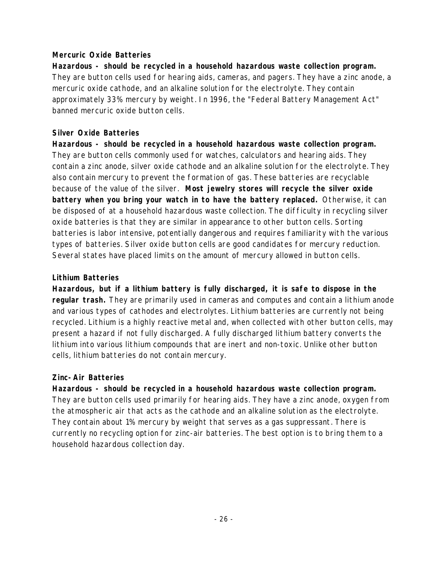#### **Mercuric Oxide Batteries**

**Hazardous - should be recycled in a household hazardous waste collection program.** They are button cells used for hearing aids, cameras, and pagers. They have a zinc anode, a mercuric oxide cathode, and an alkaline solution for the electrolyte. They contain approximately 33% mercury by weight. In 1996, the "Federal Battery Management Act" banned mercuric oxide button cells.

#### **Silver Oxide Batteries**

**Hazardous - should be recycled in a household hazardous waste collection program.** They are button cells commonly used for watches, calculators and hearing aids. They contain a zinc anode, silver oxide cathode and an alkaline solution for the electrolyte. They also contain mercury to prevent the formation of gas. These batteries are recyclable because of the value of the silver. **Most jewelry stores will recycle the silver oxide battery when you bring your watch in to have the battery replaced.** Otherwise, it can be disposed of at a household hazardous waste collection. The difficulty in recycling silver oxide batteries is that they are similar in appearance to other button cells. Sorting batteries is labor intensive, potentially dangerous and requires familiarity with the various types of batteries. Silver oxide button cells are good candidates for mercury reduction. Several states have placed limits on the amount of mercury allowed in button cells.

#### **Lithium Batteries**

**Hazardous, but if a lithium battery is fully discharged, it is safe to dispose in the regular trash.** They are primarily used in cameras and computes and contain a lithium anode and various types of cathodes and electrolytes. Lithium batteries are currently not being recycled. Lithium is a highly reactive metal and, when collected with other button cells, may present a hazard if not fully discharged. A fully discharged lithium battery converts the lithium into various lithium compounds that are inert and non-toxic. Unlike other button cells, lithium batteries do not contain mercury.

#### **Zinc-Air Batteries**

**Hazardous - should be recycled in a household hazardous waste collection program.** They are button cells used primarily for hearing aids. They have a zinc anode, oxygen from the atmospheric air that acts as the cathode and an alkaline solution as the electrolyte. They contain about 1% mercury by weight that serves as a gas suppressant. There is currently no recycling option for zinc-air batteries. The best option is to bring them to a household hazardous collection day.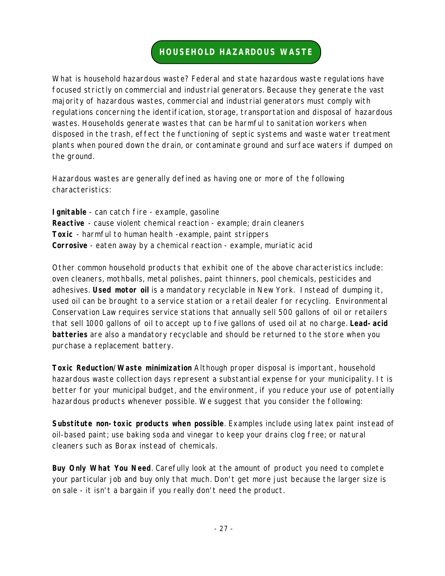#### **HOUSEHOLD HAZARDOUS WASTE**

<span id="page-28-0"></span>What is household hazardous waste? Federal and state hazardous waste regulations have focused strictly on commercial and industrial generators. Because they generate the vast majority of hazardous wastes, commercial and industrial generators must comply with regulations concerning the identification, storage, transportation and disposal of hazardous wastes. Households generate wastes that can be harmful to sanitation workers when disposed in the trash, effect the functioning of septic systems and waste water treatment plants when poured down the drain, or contaminate ground and surface waters if dumped on the ground.

Hazardous wastes are generally defined as having one or more of the following characteristics:

**Ignitable** - can catch fire - example, gasoline **Reactive** - cause violent chemical reaction - example; drain cleaners **Toxic** - harmful to human health -example, paint strippers **Corrosive** - eaten away by a chemical reaction - example, muriatic acid

Other common household products that exhibit one of the above characteristics include: oven cleaners, mothballs, metal polishes, paint thinners, pool chemicals, pesticides and adhesives. **Used motor oil** is a mandatory recyclable in New York. Instead of dumping it, used oil can be brought to a service station or a retail dealer for recycling. Environmental Conservation Law requires service stations that annually sell 500 gallons of oil or retailers that sell 1000 gallons of oil to accept up to five gallons of used oil at no charge. **Lead-acid batteries** are also a mandatory recyclable and should be returned to the store when you purchase a replacement battery.

**Toxic Reduction/Waste minimization** Although proper disposal is important, household hazardous waste collection days represent a substantial expense for your municipality. It is better for your municipal budget, and the environment, if you reduce your use of potentially hazardous products whenever possible. We suggest that you consider the following:

**Substitute non-toxic products when possible**. Examples include using latex paint instead of oil-based paint; use baking soda and vinegar to keep your drains clog free; or natural cleaners such as Borax instead of chemicals.

**Buy Only What You Need**. Carefully look at the amount of product you need to complete your particular job and buy only that much. Don't get more just because the larger size is on sale - it isn't a bargain if you really don't need the product.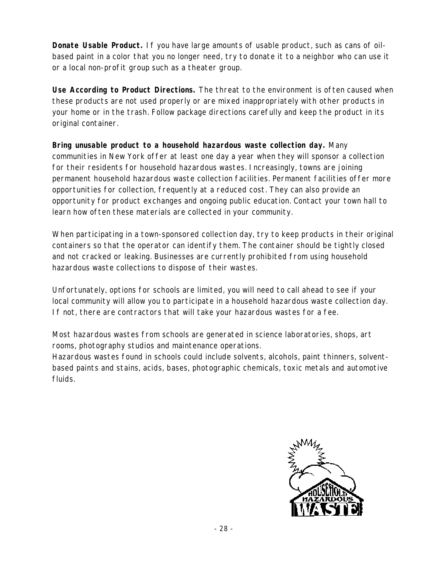**Donate Usable Product.** If you have large amounts of usable product, such as cans of oilbased paint in a color that you no longer need, try to donate it to a neighbor who can use it or a local non-profit group such as a theater group.

**Use According to Product Directions.** The threat to the environment is often caused when these products are not used properly or are mixed inappropriately with other products in your home or in the trash. Follow package directions carefully and keep the product in its original container.

**Bring unusable product to a household hazardous waste collection day.** Many communities in New York offer at least one day a year when they will sponsor a collection for their residents for household hazardous wastes. Increasingly, towns are joining permanent household hazardous waste collection facilities. Permanent facilities offer more opportunities for collection, frequently at a reduced cost. They can also provide an opportunity for product exchanges and ongoing public education. Contact your town hall to learn how often these materials are collected in your community.

When participating in a town-sponsored collection day, try to keep products in their original containers so that the operator can identify them. The container should be tightly closed and not cracked or leaking. Businesses are currently prohibited from using household hazardous waste collections to dispose of their wastes.

Unfortunately, options for schools are limited, you will need to call ahead to see if your local community will allow you to participate in a household hazardous waste collection day. If not, there are contractors that will take your hazardous wastes for a fee.

Most hazardous wastes from schools are generated in science laboratories, shops, art rooms, photography studios and maintenance operations.

Hazardous wastes found in schools could include solvents, alcohols, paint thinners, solventbased paints and stains, acids, bases, photographic chemicals, toxic metals and automotive fluids.

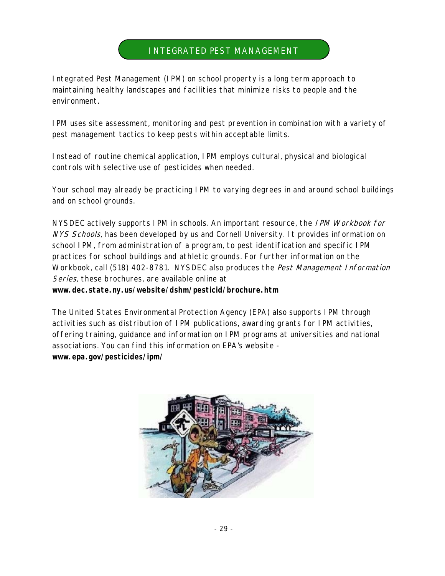#### INTEGRATED PEST MANAGEMENT

<span id="page-30-0"></span>Integrated Pest Management (IPM) on school property is a long term approach to maintaining healthy landscapes and facilities that minimize risks to people and the environment.

IPM uses site assessment, monitoring and pest prevention in combination with a variety of pest management tactics to keep pests within acceptable limits.

Instead of routine chemical application, IPM employs cultural, physical and biological controls with selective use of pesticides when needed.

Your school may already be practicing IPM to varying degrees in and around school buildings and on school grounds.

NYSDEC actively supports IPM in schools. An important resource, the IPM Workbook for NYS Schools, has been developed by us and Cornell University. It provides information on school IPM, from administration of a program, to pest identification and specific IPM practices for school buildings and athletic grounds. For further information on the Workbook, call (518) 402-8781. NYSDEC also produces the Pest Management Information Series, these brochures, are available online at **<www.dec.state.ny.us/website/dshm/pesticid/brochure.htm>**

The United States Environmental Protection Agency (EPA) also supports IPM through activities such as distribution of IPM publications, awarding grants for IPM activities, offering training, guidance and information on IPM programs at universities and national associations. You can find this information on EPA's website **<www.epa.gov/pesticides/ipm/>**

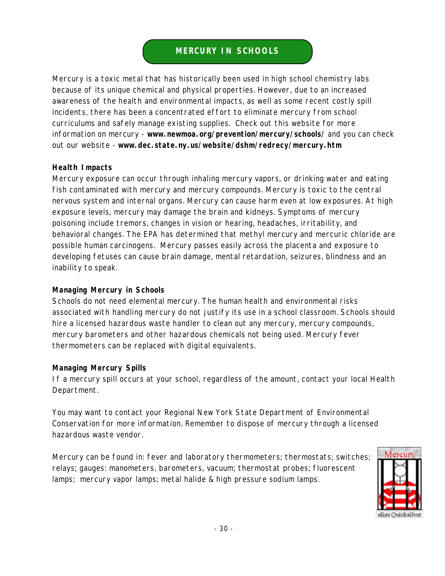#### **MERCURY IN SCHOOLS**

<span id="page-31-0"></span>Mercury is a toxic metal that has historically been used in high school chemistry labs because of its unique chemical and physical properties. However, due to an increased awareness of the health and environmental impacts, as well as some recent costly spill incidents, there has been a concentrated effort to eliminate mercury from school curriculums and safely manage existing supplies. Check out this website for more information on mercury - **<www.newmoa.org/prevention/mercury/schools/>** and you can check out our website - **<www.dec.state.ny.us/website/dshm/redrecy/mercury.htm>**

#### **Health Impacts**

Mercury exposure can occur through inhaling mercury vapors, or drinking water and eating fish contaminated with mercury and mercury compounds. Mercury is toxic to the central nervous system and internal organs. Mercury can cause harm even at low exposures. At high exposure levels, mercury may damage the brain and kidneys. Symptoms of mercury poisoning include tremors, changes in vision or hearing, headaches, irritability, and behavioral changes. The EPA has determined that methyl mercury and mercuric chloride are possible human carcinogens. Mercury passes easily across the placenta and exposure to developing fetuses can cause brain damage, mental retardation, seizures, blindness and an inability to speak.

#### **Managing Mercury in Schools**

Schools do not need elemental mercury. The human health and environmental risks associated with handling mercury do not justify its use in a school classroom. Schools should hire a licensed hazardous waste handler to clean out any mercury, mercury compounds, mercury barometers and other hazardous chemicals not being used. Mercury fever thermometers can be replaced with digital equivalents.

#### **Managing Mercury Spills**

If a mercury spill occurs at your school, regardless of the amount, contact your local Health Department.

You may want to contact your Regional New York State Department of Environmental Conservation for more information. Remember to dispose of mercury through a licensed hazardous waste vendor.

Mercury can be found in: fever and laboratory thermometers; thermostats; switches; relays; gauges: manometers, barometers, vacuum; thermostat probes; fluorescent lamps; mercury vapor lamps; metal halide & high pressure sodium lamps.

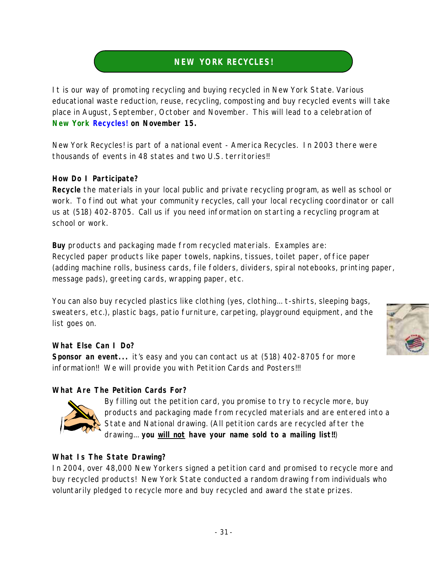#### **NEW YORK RECYCLES!**

<span id="page-32-0"></span>It is our way of promoting recycling and buying recycled in New York State. Various educational waste reduction, reuse, recycling, composting and buy recycled events will take place in August, September, October and November. This will lead to a celebration of **New York Recycles! on November 15.**

New York Recycles! is part of a national event - America Recycles. In 2003 there were thousands of events in 48 states and two U.S. territories!!

#### **How Do I Participate?**

**Recycle** the materials in your local public and private recycling program, as well as school or work. To find out what your community recycles, call your local recycling coordinator or call us at (518) 402-8705. Call us if you need information on starting a recycling program at school or work.

**Buy** products and packaging made from recycled materials. Examples are: Recycled paper products like paper towels, napkins, tissues, toilet paper, office paper (adding machine rolls, business cards, file folders, dividers, spiral notebooks, printing paper, message pads), greeting cards, wrapping paper, etc.

You can also buy recycled plastics like clothing (yes, clothing... t-shirts, sleeping bags, sweaters, etc.), plastic bags, patio furniture, carpeting, playground equipment, and the list goes on.

#### **What Else Can I Do?**

**Sponsor an event...** it's easy and you can contact us at (518) 402-8705 for more information!! We will provide you with Petition Cards and Posters!!!

#### **What Are The Petition Cards For?**



By filling out the petition card, you promise to try to recycle more, buy products and packaging made from recycled materials and are entered into a State and National drawing. (All petition cards are recycled after the drawing... **you will not have your name sold to a mailing list!!**)

#### **What Is The State Drawing?**

In 2004, over 48,000 New Yorkers signed a petition card and promised to recycle more and buy recycled products! New York State conducted a random drawing from individuals who voluntarily pledged to recycle more and buy recycled and award the state prizes.

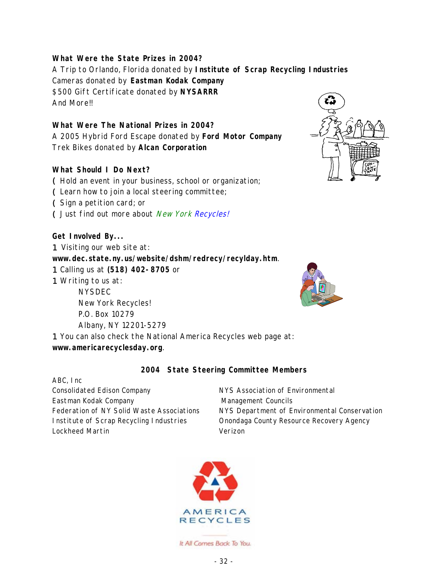#### **What Were the State Prizes in 2004?**

A Trip to Orlando, Florida donated by **Institute of Scrap Recycling Industries**  Cameras donated by **Eastman Kodak Company** \$500 Gift Certificate donated by **NYSARRR** And More!!

#### **What Were The National Prizes in 2004?**

A 2005 Hybrid Ford Escape donated by **Ford Motor Company** Trek Bikes donated by **Alcan Corporation**

#### **What Should I Do Next?**

( Hold an event in your business, school or organization;

( Learn how to join a local steering committee;

- Sign a petition card; or
- ( Just find out more about *New York Recycles!*

#### **Get Involved By...**

1 Visiting our web site at:

**<www.dec.state.ny.us/website/dshm/redrecy/recylday.htm>**.

- 1 Calling us at **(518) 402-8705** or
- 1 Writing to us at:

NYSDEC New York Recycles! P.O. Box 10279 Albany, NY 12201-5279

1 You can also check the National America Recycles web page at: **<www.americarecyclesday.org>**.

#### **2004 State Steering Committee Members**

ABC, Inc Consolidated Edison Company Eastman Kodak Company Federation of NY Solid Waste Associations Institute of Scrap Recycling Industries Lockheed Martin

NYS Association of Environmental Management Councils NYS Department of Environmental Conservation Onondaga County Resource Recovery Agency Verizon



It All Comes Back To You.

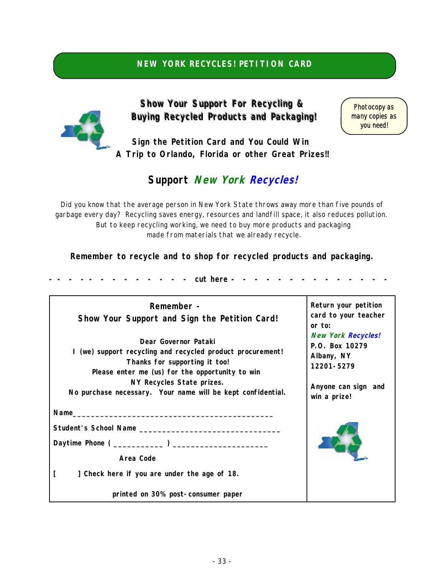#### **NEW YORK RECYCLES! PETITION CARD**

<span id="page-34-0"></span>

**Show Your Support For Recycling & Buying Recycled Products and Packaging! Buying Recycled Products and Packaging!**

Photocopy as many copies as you need!

**Sign the Petition Card and You Could Win A Trip to Orlando, Florida or other Great Prizes!!**

#### **Support New York Recycles!**

Did you know that the average person in New York State throws away more than five pounds of garbage every day? Recycling saves energy, resources and landfill space, it also reduces pollution. But to keep recycling working, we need to buy more products and packaging made from materials that we already recycle.

**Remember to recycle and to shop for recycled products and packaging.**

**- - - - - - - - - - - - - cut here - - - - - - - - - - - - - -** 

| Remember -<br>Show Your Support and Sign the Petition Card!                                                                                                                                                                                                                                                                                                                          | Return your petition<br>card to your teacher<br>or to: |
|--------------------------------------------------------------------------------------------------------------------------------------------------------------------------------------------------------------------------------------------------------------------------------------------------------------------------------------------------------------------------------------|--------------------------------------------------------|
| <b>New York Recycles!</b><br>Dear Governor Pataki<br>P.O. Box 10279<br>I (we) support recycling and recycled product procurement!<br>Albany, NY<br>Thanks for supporting it too!<br>12201-5279<br>Please enter me (us) for the opportunity to win<br>NY Recycles State prizes.<br>Anyone can sign and<br>No purchase necessary. Your name will be kept confidential.<br>win a prize! |                                                        |
| $Name_\_$                                                                                                                                                                                                                                                                                                                                                                            |                                                        |
|                                                                                                                                                                                                                                                                                                                                                                                      |                                                        |
|                                                                                                                                                                                                                                                                                                                                                                                      |                                                        |
| Area Code                                                                                                                                                                                                                                                                                                                                                                            |                                                        |
| ] Check here if you are under the age of 18.                                                                                                                                                                                                                                                                                                                                         |                                                        |
| printed on 30% post-consumer paper                                                                                                                                                                                                                                                                                                                                                   |                                                        |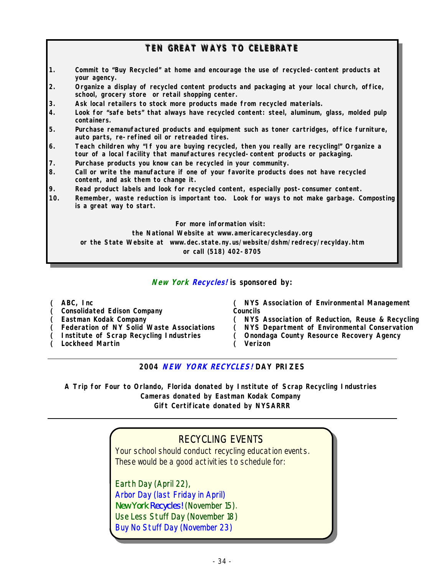#### **TEN GREAT WAYS TO CELEBRATE**

- **1. Commit to "Buy Recycled" at home and encourage the use of recycled-content products at your agency.**
- **2. Organize a display of recycled content products and packaging at your local church, office, school, grocery store or retail shopping center.**
- **3. Ask local retailers to stock more products made from recycled materials.**
- **4. Look for "safe bets" that always have recycled content: steel, aluminum, glass, molded pulp containers.**
- **5. Purchase remanufactured products and equipment such as toner cartridges, office furniture, auto parts, re-refined oil or retreaded tires.**
- **6. Teach children why "If you are buying recycled, then you really are recycling!" Organize a tour of a local facility that manufactures recycled-content products or packaging.**
- **7. Purchase products you know can be recycled in your community.**
- **8. Call or write the manufacture if one of your favorite products does not have recycled content, and ask them to change it.**
- **9. Read product labels and look for recycled content, especially post-consumer content.**
- **10. Remember, waste reduction is important too. Look for ways to not make garbage. Composting is a great way to start.**

**For more information visit:** 

**the National Website at www.americarecyclesday.org or the State Website at www.dec.state.ny.us/website/dshm/redrecy/recylday.htm or call (518) 402-8705**

**New York Recycles! is sponsored by:**

( **ABC, Inc**

- ( **Consolidated Edison Company**
- ( **Eastman Kodak Company**
- ( **Federation of NY Solid Waste Associations**
- ( **Institute of Scrap Recycling Industries**
- ( **Lockheed Martin**

( **NYS Association of Environmental Management Councils**

- ( **NYS Association of Reduction, Reuse & Recycling**
- ( **NYS Department of Environmental Conservation**
- ( **Onondaga County Resource Recovery Agency**
- ( **Verizon**

**2004 NEW YORK RECYCLES! DAY PRIZES**

**A Trip for Four to Orlando, Florida donated by Institute of Scrap Recycling Industries Cameras donated by Eastman Kodak Company Gift Certificate donated by NYSARRR**

#### RECYCLING EVENTS

Your school should conduct recycling education events. These would be a good activities to schedule for:

Earth Day (April 22), Arbor Day (last Friday in April) *New York Recycles!* (November 15). Use Less Stuff Day (November 18) Buy No Stuff Day (November 23)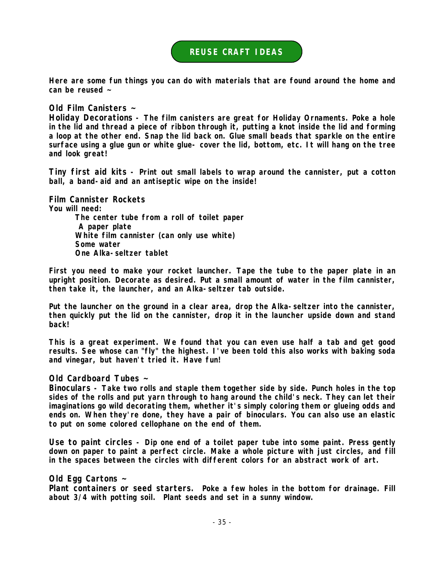#### **REUSE CRAFT IDEAS**

<span id="page-36-0"></span>**Here are some fun things you can do with materials that are found around the home and can be reused ~**

**Old Film Canisters ~**

**Holiday Decorations - The film canisters are great for Holiday Ornaments. Poke a hole in the lid and thread a piece of ribbon through it, putting a knot inside the lid and forming a loop at the other end. Snap the lid back on. Glue small beads that sparkle on the entire surface using a glue gun or white glue- cover the lid, bottom, etc. It will hang on the tree and look great!**

**Tiny first aid kits - Print out small labels to wrap around the cannister, put a cotton ball, a band-aid and an antiseptic wipe on the inside!**

**Film Cannister Rockets**

**You will need:** 

 **The center tube from a roll of toilet paper A paper plate White film cannister (can only use white) Some water One Alka-seltzer tablet** 

**First you need to make your rocket launcher. Tape the tube to the paper plate in an upright position. Decorate as desired. Put a small amount of water in the film cannister, then take it, the launcher, and an Alka-seltzer tab outside.** 

**Put the launcher on the ground in a clear area, drop the Alka-seltzer into the cannister, then quickly put the lid on the cannister, drop it in the launcher upside down and stand back!** 

**This is a great experiment. We found that you can even use half a tab and get good results. See whose can "fly" the highest. I've been told this also works with baking soda and vinegar, but haven't tried it. Have fun!** 

**Old Cardboard Tubes ~**

**Binoculars - Take two rolls and staple them together side by side. Punch holes in the top sides of the rolls and put yarn through to hang around the child's neck. They can let their imaginations go wild decorating them, whether it's simply coloring them or glueing odds and ends on. When they're done, they have a pair of binoculars. You can also use an elastic to put on some colored cellophane on the end of them.**

**Use to paint circles - Dip one end of a toilet paper tube into some paint. Press gently down on paper to paint a perfect circle. Make a whole picture with just circles, and fill in the spaces between the circles with different colors for an abstract work of art.** 

**Old Egg Cartons ~**

**Plant containers or seed starters. Poke a few holes in the bottom for drainage. Fill about 3/4 with potting soil. Plant seeds and set in a sunny window.**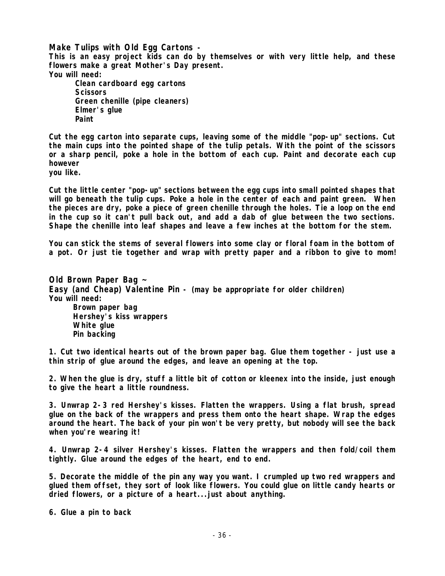**Make Tulips with Old Egg Cartons - This is an easy project kids can do by themselves or with very little help, and these flowers make a great Mother's Day present. You will need: Clean cardboard egg cartons Scissors** 

 **Green chenille (pipe cleaners) Elmer's glue Paint** 

**Cut the egg carton into separate cups, leaving some of the middle "pop-up" sections. Cut the main cups into the pointed shape of the tulip petals. With the point of the scissors or a sharp pencil, poke a hole in the bottom of each cup. Paint and decorate each cup however**

**you like.** 

**Cut the little center "pop-up" sections between the egg cups into small pointed shapes that will go beneath the tulip cups. Poke a hole in the center of each and paint green. When the pieces are dry, poke a piece of green chenille through the holes. Tie a loop on the end in the cup so it can't pull back out, and add a dab of glue between the two sections. Shape the chenille into leaf shapes and leave a few inches at the bottom for the stem.**

**You can stick the stems of several flowers into some clay or floral foam in the bottom of a pot. Or just tie together and wrap with pretty paper and a ribbon to give to mom!**

**Old Brown Paper Bag ~ Easy (and Cheap) Valentine Pin - (may be appropriate for older children) You will need: Brown paper bag Hershey's kiss wrappers White glue Pin backing** 

**1. Cut two identical hearts out of the brown paper bag. Glue them together - just use a thin strip of glue around the edges, and leave an opening at the top.**

**2. When the glue is dry, stuff a little bit of cotton or kleenex into the inside, just enough to give the heart a little roundness.**

**3. Unwrap 2-3 red Hershey's kisses. Flatten the wrappers. Using a flat brush, spread glue on the back of the wrappers and press them onto the heart shape. Wrap the edges around the heart. The back of your pin won't be very pretty, but nobody will see the back when you're wearing it!**

**4. Unwrap 2-4 silver Hershey's kisses. Flatten the wrappers and then fold/coil them tightly. Glue around the edges of the heart, end to end.** 

**5. Decorate the middle of the pin any way you want. I crumpled up two red wrappers and glued them offset, they sort of look like flowers. You could glue on little candy hearts or dried flowers, or a picture of a heart...just about anything.** 

**6. Glue a pin to back**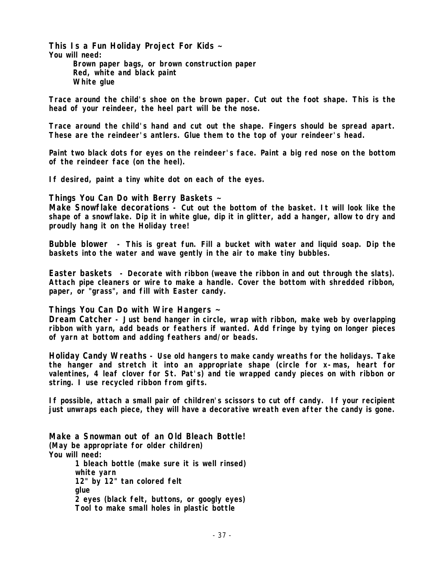**This Is a Fun Holiday Project For Kids ~ You will need: Brown paper bags, or brown construction paper Red, white and black paint White glue** 

**Trace around the child's shoe on the brown paper. Cut out the foot shape. This is the head of your reindeer, the heel part will be the nose.** 

**Trace around the child's hand and cut out the shape. Fingers should be spread apart. These are the reindeer's antlers. Glue them to the top of your reindeer's head.** 

**Paint two black dots for eyes on the reindeer's face. Paint a big red nose on the bottom of the reindeer face (on the heel).** 

**If desired, paint a tiny white dot on each of the eyes.** 

**Things You Can Do with Berry Baskets ~**

**Make Snowflake decorations - Cut out the bottom of the basket. It will look like the shape of a snowflake. Dip it in white glue, dip it in glitter, add a hanger, allow to dry and proudly hang it on the Holiday tree!**

**Bubble blower - This is great fun. Fill a bucket with water and liquid soap. Dip the baskets into the water and wave gently in the air to make tiny bubbles.** 

**Easter baskets - Decorate with ribbon (weave the ribbon in and out through the slats). Attach pipe cleaners or wire to make a handle. Cover the bottom with shredded ribbon, paper, or "grass", and fill with Easter candy.** 

**Things You Can Do with Wire Hangers ~**

**Dream Catcher - Just bend hanger in circle, wrap with ribbon, make web by overlapping ribbon with yarn, add beads or feathers if wanted. Add fringe by tying on longer pieces of yarn at bottom and adding feathers and/or beads.** 

**Holiday Candy Wreaths - Use old hangers to make candy wreaths for the holidays. Take the hanger and stretch it into an appropriate shape (circle for x-mas, heart for valentines, 4 leaf clover for St. Pat's) and tie wrapped candy pieces on with ribbon or string. I use recycled ribbon from gifts.** 

**If possible, attach a small pair of children's scissors to cut off candy. If your recipient just unwraps each piece, they will have a decorative wreath even after the candy is gone.**

**Make a Snowman out of an Old Bleach Bottle! (May be appropriate for older children) You will need: 1 bleach bottle (make sure it is well rinsed) white yarn 12" by 12" tan colored felt glue 2 eyes (black felt, buttons, or googly eyes) Tool to make small holes in plastic bottle**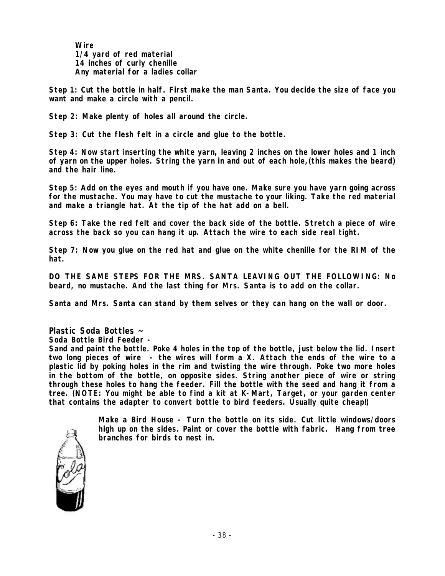**Wire 1/4 yard of red material 14 inches of curly chenille Any material for a ladies collar** 

**Step 1: Cut the bottle in half. First make the man Santa. You decide the size of face you want and make a circle with a pencil.** 

**Step 2: Make plenty of holes all around the circle.** 

**Step 3: Cut the flesh felt in a circle and glue to the bottle.**

**Step 4: Now start inserting the white yarn, leaving 2 inches on the lower holes and 1 inch of yarn on the upper holes. String the yarn in and out of each hole,(this makes the beard) and the hair line.**

**Step 5: Add on the eyes and mouth if you have one. Make sure you have yarn going across for the mustache. You may have to cut the mustache to your liking. Take the red material and make a triangle hat. At the tip of the hat add on a bell.** 

**Step 6: Take the red felt and cover the back side of the bottle. Stretch a piece of wire across the back so you can hang it up. Attach the wire to each side real tight.** 

**Step 7: Now you glue on the red hat and glue on the white chenille for the RIM of the hat.** 

**DO THE SAME STEPS FOR THE MRS. SANTA LEAVING OUT THE FOLLOWING: No beard, no mustache. And the last thing for Mrs. Santa is to add on the collar.**

**Santa and Mrs. Santa can stand by them selves or they can hang on the wall or door.**

**Plastic Soda Bottles ~**

**Soda Bottle Bird Feeder -** 

**Sand and paint the bottle. Poke 4 holes in the top of the bottle, just below the lid. Insert two long pieces of wire - the wires will form a X. Attach the ends of the wire to a plastic lid by poking holes in the rim and twisting the wire through. Poke two more holes in the bottom of the bottle, on opposite sides. String another piece of wire or string through these holes to hang the feeder. Fill the bottle with the seed and hang it from a tree. (NOTE: You might be able to find a kit at K-Mart, Target, or your garden center that contains the adapter to convert bottle to bird feeders. Usually quite cheap!)** 

> **Make a Bird House - Turn the bottle on its side. Cut little windows/doors high up on the sides. Paint or cover the bottle with fabric. Hang from tree branches for birds to nest in.**

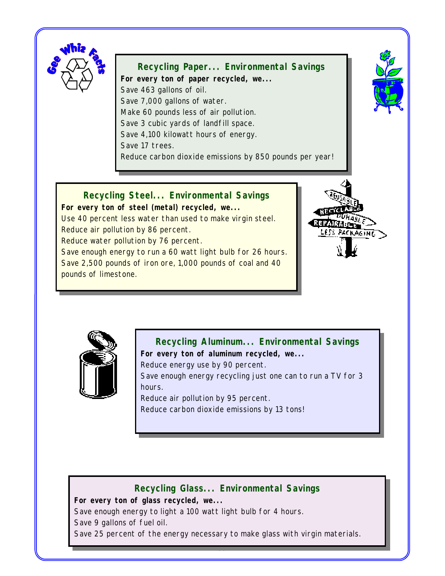<span id="page-40-0"></span>

**Recycling Paper... Environmental Savings For every ton of paper recycled, we...**  Save 463 gallons of oil. Save 7,000 gallons of water. Make 60 pounds less of air pollution. Save 3 cubic yards of landfill space. Save 4,100 kilowatt hours of energy. Save 17 trees. Reduce carbon dioxide emissions by 850 pounds per year!



**Recycling Steel... Environmental Savings For every ton of steel (metal) recycled, we...** Use 40 percent less water than used to make virgin steel. Reduce air pollution by 86 percent. Reduce water pollution by 76 percent. Save enough energy to run a 60 watt light bulb for 26 hours. Save 2,500 pounds of iron ore, 1,000 pounds of coal and 40 pounds of limestone.





**Recycling Aluminum... Environmental Savings**

**For every ton of aluminum recycled, we...** 

Reduce energy use by 90 percent.

Save enough energy recycling just one can to run a TV for 3 hours.

Reduce air pollution by 95 percent.

Reduce carbon dioxide emissions by 13 tons!

#### **Recycling Glass... Environmental Savings**

**For every ton of glass recycled, we...** 

Save enough energy to light a 100 watt light bulb for 4 hours. Save 9 gallons of fuel oil.

Save 25 percent of the energy necessary to make glass with virgin materials.

- 39 -